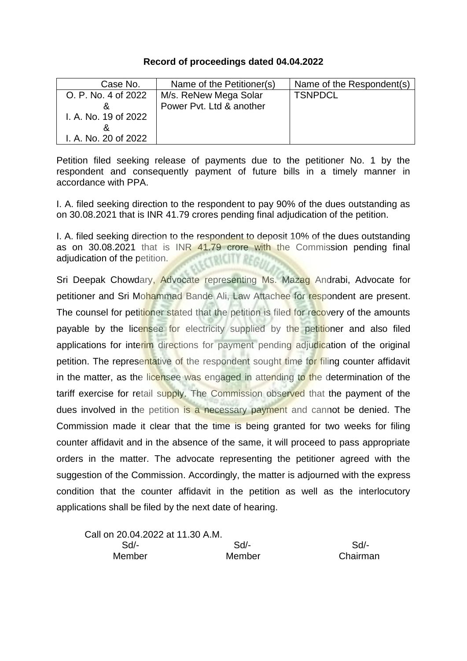## **Record of proceedings dated 04.04.2022**

| Case No.             | Name of the Petitioner(s) | Name of the Respondent(s) |
|----------------------|---------------------------|---------------------------|
| O. P. No. 4 of 2022  | M/s. ReNew Mega Solar     | <b>TSNPDCL</b>            |
|                      | Power Pyt. Ltd & another  |                           |
| I. A. No. 19 of 2022 |                           |                           |
|                      |                           |                           |
| I. A. No. 20 of 2022 |                           |                           |

Petition filed seeking release of payments due to the petitioner No. 1 by the respondent and consequently payment of future bills in a timely manner in accordance with PPA.

I. A. filed seeking direction to the respondent to pay 90% of the dues outstanding as on 30.08.2021 that is INR 41.79 crores pending final adjudication of the petition.

I. A. filed seeking direction to the respondent to deposit 10% of the dues outstanding as on 30.08.2021 that is INR 41.79 crore with the Commission pending final adjudication of the petition. CERKCITY REGI

Sri Deepak Chowdary, Advocate representing Ms. Mazag Andrabi, Advocate for petitioner and Sri Mohammad Bande Ali, Law Attachee for respondent are present. The counsel for petitioner stated that the petition is filed for recovery of the amounts payable by the licensee for electricity supplied by the petitioner and also filed applications for interim directions for payment pending adjudication of the original petition. The representative of the respondent sought time for filing counter affidavit in the matter, as the licensee was engaged in attending to the determination of the tariff exercise for retail supply. The Commission observed that the payment of the dues involved in the petition is a necessary payment and cannot be denied. The Commission made it clear that the time is being granted for two weeks for filing counter affidavit and in the absence of the same, it will proceed to pass appropriate orders in the matter. The advocate representing the petitioner agreed with the suggestion of the Commission. Accordingly, the matter is adjourned with the express condition that the counter affidavit in the petition as well as the interlocutory applications shall be filed by the next date of hearing.

Call on 20.04.2022 at 11.30 A.M. Sd/- Sd/- Sd/- Member Member Chairman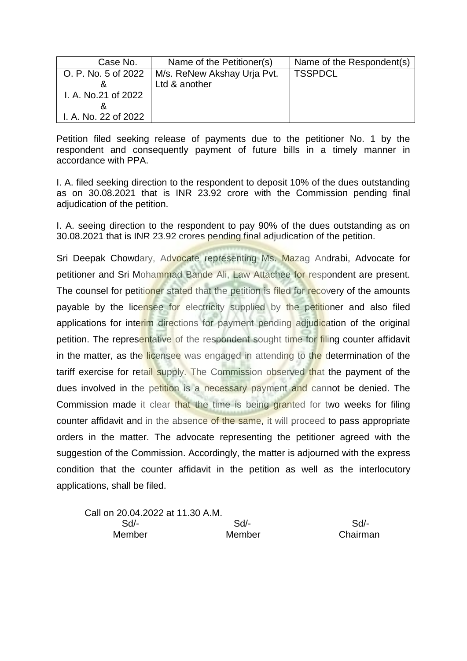| Case No.             | Name of the Petitioner(s)   | Name of the Respondent(s) |
|----------------------|-----------------------------|---------------------------|
| O. P. No. 5 of 2022  | M/s. ReNew Akshay Urja Pvt. | <b>TSSPDCL</b>            |
|                      | Ltd & another               |                           |
| I. A. No.21 of 2022  |                             |                           |
|                      |                             |                           |
| I. A. No. 22 of 2022 |                             |                           |

I. A. filed seeking direction to the respondent to deposit 10% of the dues outstanding as on 30.08.2021 that is INR 23.92 crore with the Commission pending final adjudication of the petition.

I. A. seeing direction to the respondent to pay 90% of the dues outstanding as on 30.08.2021 that is INR 23.92 crores pending final adjudication of the petition.

| Call on 20.04.2022 at 11.30 A.M. |        |          |
|----------------------------------|--------|----------|
| Sd/-                             | $Sd$ - | Sd       |
| Member                           | Member | Chairman |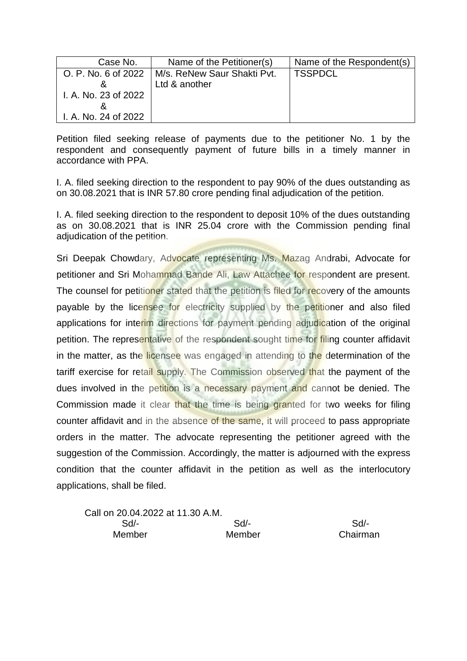| Case No.             | Name of the Petitioner(s)                         | Name of the Respondent(s) |
|----------------------|---------------------------------------------------|---------------------------|
|                      | O. P. No. 6 of 2022   M/s. ReNew Saur Shakti Pvt. | <b>TSSPDCL</b>            |
|                      | Ltd & another                                     |                           |
| I. A. No. 23 of 2022 |                                                   |                           |
|                      |                                                   |                           |
| I. A. No. 24 of 2022 |                                                   |                           |

I. A. filed seeking direction to the respondent to pay 90% of the dues outstanding as on 30.08.2021 that is INR 57.80 crore pending final adjudication of the petition.

I. A. filed seeking direction to the respondent to deposit 10% of the dues outstanding as on 30.08.2021 that is INR 25.04 crore with the Commission pending final adjudication of the petition.

| Call on 20.04.2022 at 11.30 A.M. |        |          |
|----------------------------------|--------|----------|
| Sd/-                             | $Sd$ - | Sd       |
| Member                           | Member | Chairman |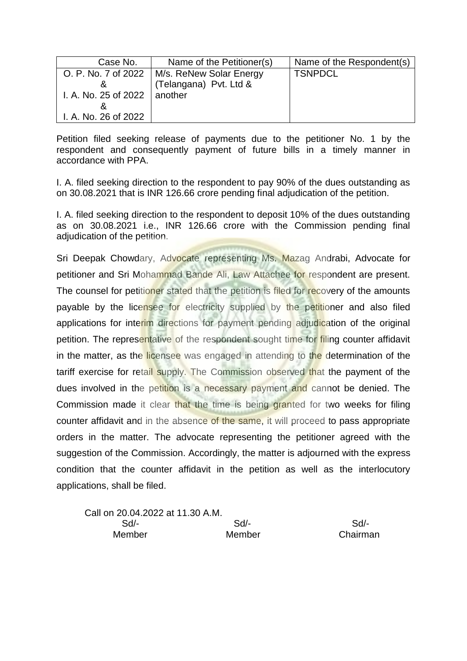| Case No.                       | Name of the Petitioner(s)                     | Name of the Respondent(s) |
|--------------------------------|-----------------------------------------------|---------------------------|
|                                | O. P. No. 7 of 2022   M/s. ReNew Solar Energy | <b>TSNPDCL</b>            |
|                                | (Telangana) Pvt. Ltd &                        |                           |
| I. A. No. 25 of 2022   another |                                               |                           |
|                                |                                               |                           |
| I. A. No. 26 of 2022           |                                               |                           |

I. A. filed seeking direction to the respondent to pay 90% of the dues outstanding as on 30.08.2021 that is INR 126.66 crore pending final adjudication of the petition.

I. A. filed seeking direction to the respondent to deposit 10% of the dues outstanding as on 30.08.2021 i.e., INR 126.66 crore with the Commission pending final adjudication of the petition.

| Call on 20.04.2022 at 11.30 A.M. |        |          |
|----------------------------------|--------|----------|
| $Sd$ -                           | Sd/-   | Sd       |
| Member                           | Member | Chairman |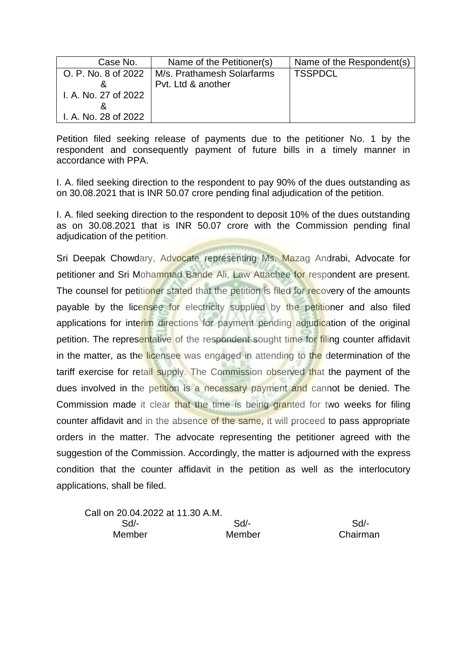| Case No.             | Name of the Petitioner(s)  | Name of the Respondent(s) |
|----------------------|----------------------------|---------------------------|
| O. P. No. 8 of 2022  | M/s. Prathamesh Solarfarms | <b>TSSPDCL</b>            |
|                      | Pyt. Ltd & another         |                           |
| I. A. No. 27 of 2022 |                            |                           |
|                      |                            |                           |
| I. A. No. 28 of 2022 |                            |                           |

I. A. filed seeking direction to the respondent to pay 90% of the dues outstanding as on 30.08.2021 that is INR 50.07 crore pending final adjudication of the petition.

I. A. filed seeking direction to the respondent to deposit 10% of the dues outstanding as on 30.08.2021 that is INR 50.07 crore with the Commission pending final adjudication of the petition.

| Call on 20.04.2022 at 11.30 A.M. |        |          |
|----------------------------------|--------|----------|
| Sd/-                             | Sd/-   | $Sd/$ -  |
| <b>Member</b>                    | Member | Chairman |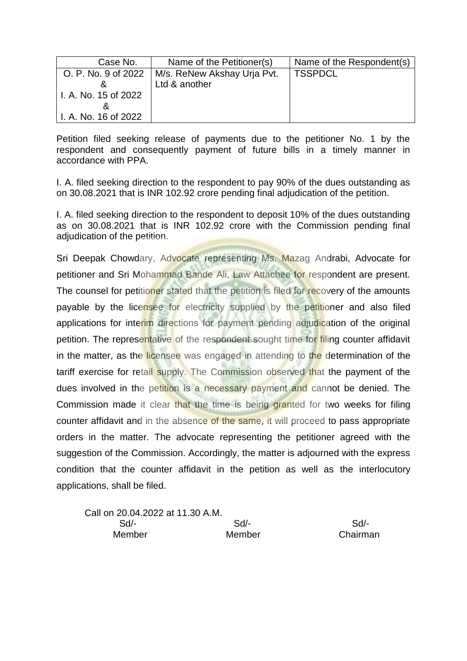| Case No.             | Name of the Petitioner(s)   | Name of the Respondent(s) |
|----------------------|-----------------------------|---------------------------|
| O. P. No. 9 of 2022  | M/s. ReNew Akshay Urja Pvt. | <b>TSSPDCL</b>            |
|                      | Ltd & another               |                           |
| I. A. No. 15 of 2022 |                             |                           |
| α                    |                             |                           |
| I. A. No. 16 of 2022 |                             |                           |

I. A. filed seeking direction to the respondent to pay 90% of the dues outstanding as on 30.08.2021 that is INR 102.92 crore pending final adjudication of the petition.

I. A. filed seeking direction to the respondent to deposit 10% of the dues outstanding as on 30.08.2021 that is INR 102.92 crore with the Commission pending final adjudication of the petition.

| Call on 20.04.2022 at 11.30 A.M. |        |          |
|----------------------------------|--------|----------|
| Sd/-                             | Sd/-   | $Sd/$ -  |
| <b>Member</b>                    | Member | Chairman |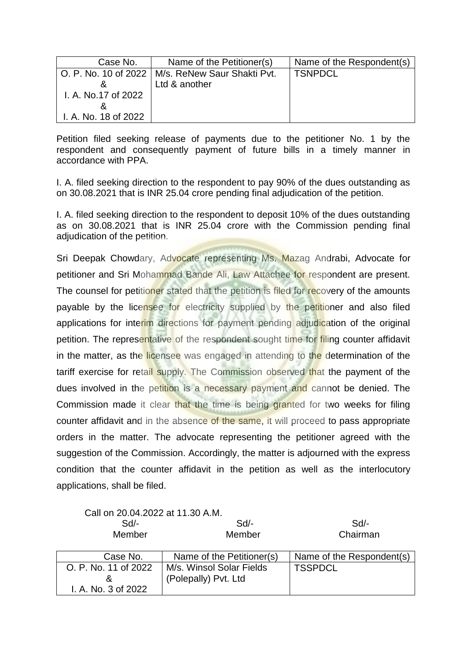| Case No.             | Name of the Petitioner(s)                          | Name of the Respondent(s) |
|----------------------|----------------------------------------------------|---------------------------|
|                      | O. P. No. 10 of 2022   M/s. ReNew Saur Shakti Pvt. | <b>TSNPDCL</b>            |
|                      | Ltd & another                                      |                           |
| I. A. No.17 of 2022  |                                                    |                           |
|                      |                                                    |                           |
| I. A. No. 18 of 2022 |                                                    |                           |

I. A. filed seeking direction to the respondent to pay 90% of the dues outstanding as on 30.08.2021 that is INR 25.04 crore pending final adjudication of the petition.

I. A. filed seeking direction to the respondent to deposit 10% of the dues outstanding as on 30.08.2021 that is INR 25.04 crore with the Commission pending final adjudication of the petition.

|  | Call on 20.04.2022 at 11.30 A.M. |  |  |
|--|----------------------------------|--|--|
|--|----------------------------------|--|--|

| $Sd$ -<br>Member     | Sd<br>Member              | Sd<br>Chairman            |
|----------------------|---------------------------|---------------------------|
| Case No.             | Name of the Petitioner(s) | Name of the Respondent(s) |
| O. P. No. 11 of 2022 | M/s. Winsol Solar Fields  | <b>TSSPDCL</b>            |
|                      | (Polepally) Pvt. Ltd      |                           |
| I. A. No. 3 of 2022  |                           |                           |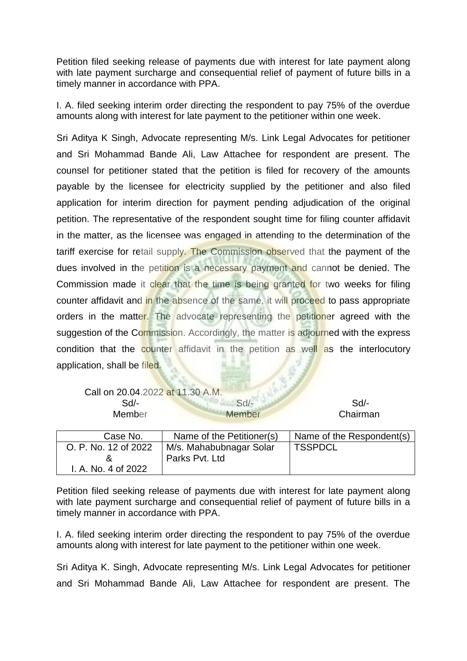Petition filed seeking release of payments due with interest for late payment along with late payment surcharge and consequential relief of payment of future bills in a timely manner in accordance with PPA.

I. A. filed seeking interim order directing the respondent to pay 75% of the overdue amounts along with interest for late payment to the petitioner within one week.

Sri Aditya K Singh, Advocate representing M/s. Link Legal Advocates for petitioner and Sri Mohammad Bande Ali, Law Attachee for respondent are present. The counsel for petitioner stated that the petition is filed for recovery of the amounts payable by the licensee for electricity supplied by the petitioner and also filed application for interim direction for payment pending adjudication of the original petition. The representative of the respondent sought time for filing counter affidavit in the matter, as the licensee was engaged in attending to the determination of the tariff exercise for retail supply. The Commission observed that the payment of the dues involved in the petition is a necessary payment and cannot be denied. The Commission made it clear that the time is being granted for two weeks for filing counter affidavit and in the absence of the same, it will proceed to pass appropriate orders in the matter. The advocate representing the petitioner agreed with the suggestion of the Commission. Accordingly, the matter is adjourned with the express condition that the counter affidavit in the petition as well as the interlocutory application, shall be filed.

| Call on 20.04.2022 at 11.30 A.M. |        |          |
|----------------------------------|--------|----------|
| Sd/-                             | $Sd-$  | Sd       |
| Member                           | Member | Chairman |

| Case No.             | Name of the Petitioner(s) | Name of the Respondent(s) |
|----------------------|---------------------------|---------------------------|
| O. P. No. 12 of 2022 | M/s. Mahabubnagar Solar   | <b>TSSPDCL</b>            |
|                      | Parks Pyt. Ltd            |                           |
| I. A. No. 4 of 2022  |                           |                           |

Petition filed seeking release of payments due with interest for late payment along with late payment surcharge and consequential relief of payment of future bills in a timely manner in accordance with PPA.

I. A. filed seeking interim order directing the respondent to pay 75% of the overdue amounts along with interest for late payment to the petitioner within one week.

Sri Aditya K. Singh, Advocate representing M/s. Link Legal Advocates for petitioner and Sri Mohammad Bande Ali, Law Attachee for respondent are present. The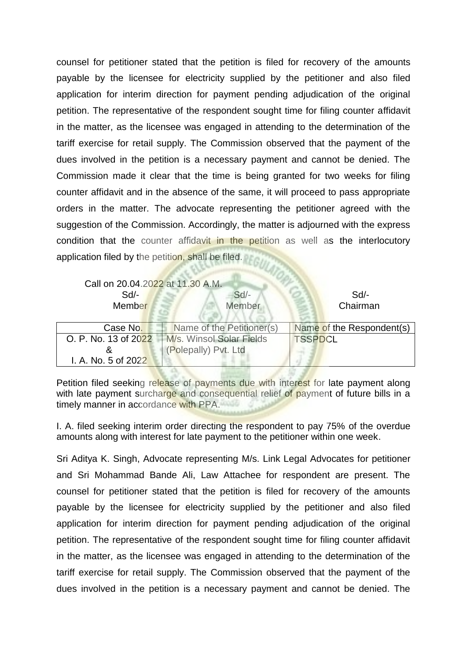counsel for petitioner stated that the petition is filed for recovery of the amounts payable by the licensee for electricity supplied by the petitioner and also filed application for interim direction for payment pending adjudication of the original petition. The representative of the respondent sought time for filing counter affidavit in the matter, as the licensee was engaged in attending to the determination of the tariff exercise for retail supply. The Commission observed that the payment of the dues involved in the petition is a necessary payment and cannot be denied. The Commission made it clear that the time is being granted for two weeks for filing counter affidavit and in the absence of the same, it will proceed to pass appropriate orders in the matter. The advocate representing the petitioner agreed with the suggestion of the Commission. Accordingly, the matter is adjourned with the express condition that the counter affidavit in the petition as well as the interlocutory application filed by the petition, shall be filed.

| Call on 20.04.2022 at 11.30 A.M.<br>Sd<br>Member | $Sd$ -<br><b>Member</b>   | $Sd$ -<br>Chairman        |
|--------------------------------------------------|---------------------------|---------------------------|
| Case No.                                         | Name of the Petitioner(s) | Name of the Respondent(s) |
| O. P. No. 13 of 2022                             | M/s. Winsol Solar Fields  | <b>TSSPDCL</b>            |
| &                                                | (Polepally) Pvt. Ltd      |                           |
| I. A. No. 5 of 2022                              |                           |                           |

Petition filed seeking release of payments due with interest for late payment along with late payment surcharge and consequential relief of payment of future bills in a timely manner in accordance with PPA.

I. A. filed seeking interim order directing the respondent to pay 75% of the overdue amounts along with interest for late payment to the petitioner within one week.

Sri Aditya K. Singh, Advocate representing M/s. Link Legal Advocates for petitioner and Sri Mohammad Bande Ali, Law Attachee for respondent are present. The counsel for petitioner stated that the petition is filed for recovery of the amounts payable by the licensee for electricity supplied by the petitioner and also filed application for interim direction for payment pending adjudication of the original petition. The representative of the respondent sought time for filing counter affidavit in the matter, as the licensee was engaged in attending to the determination of the tariff exercise for retail supply. The Commission observed that the payment of the dues involved in the petition is a necessary payment and cannot be denied. The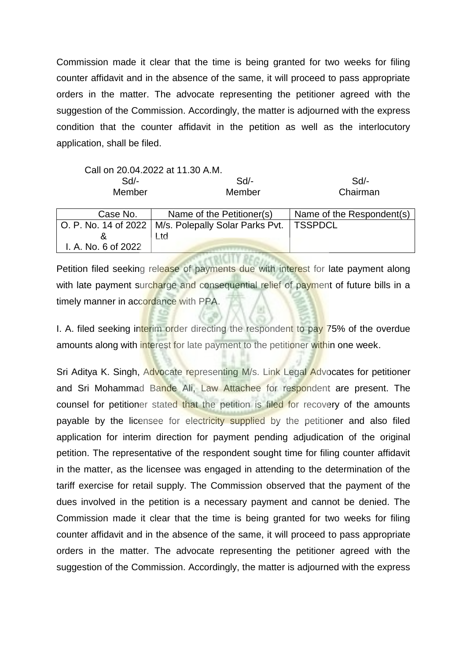Commission made it clear that the time is being granted for two weeks for filing counter affidavit and in the absence of the same, it will proceed to pass appropriate orders in the matter. The advocate representing the petitioner agreed with the suggestion of the Commission. Accordingly, the matter is adjourned with the express condition that the counter affidavit in the petition as well as the interlocutory application, shall be filed.

|                                                  | Call on 20.04.2022 at 11.30 A.M. |                                                                                   |                                                                                                                                                                                                                               |
|--------------------------------------------------|----------------------------------|-----------------------------------------------------------------------------------|-------------------------------------------------------------------------------------------------------------------------------------------------------------------------------------------------------------------------------|
|                                                  | Sd/-                             | Sd/-                                                                              | Sd/-                                                                                                                                                                                                                          |
|                                                  | Member                           | Member                                                                            | Chairman                                                                                                                                                                                                                      |
|                                                  |                                  |                                                                                   |                                                                                                                                                                                                                               |
| $\sim$ $\sim$ $\sim$ $\sim$ $\sim$ $\sim$ $\sim$ |                                  | $\mathbf{M}$ . $\mathbf{M}$ is the set of $\mathbf{M}$ is the set of $\mathbf{M}$ | Note that the contract of the contract of the contract of the contract of the contract of the contract of the contract of the contract of the contract of the contract of the contract of the contract of the contract of the |

| Case No.            | Name of the Petitioner(s)                                        | Name of the Respondent(s) |
|---------------------|------------------------------------------------------------------|---------------------------|
|                     | O. P. No. 14 of 2022   M/s. Polepally Solar Parks Pvt.   TSSPDCL |                           |
|                     | ∟td∶                                                             |                           |
| I. A. No. 6 of 2022 |                                                                  |                           |
|                     |                                                                  |                           |

Petition filed seeking release of payments due with interest for late payment along with late payment surcharge and consequential relief of payment of future bills in a timely manner in accordance with PPA.

I. A. filed seeking interim order directing the respondent to pay 75% of the overdue amounts along with interest for late payment to the petitioner within one week.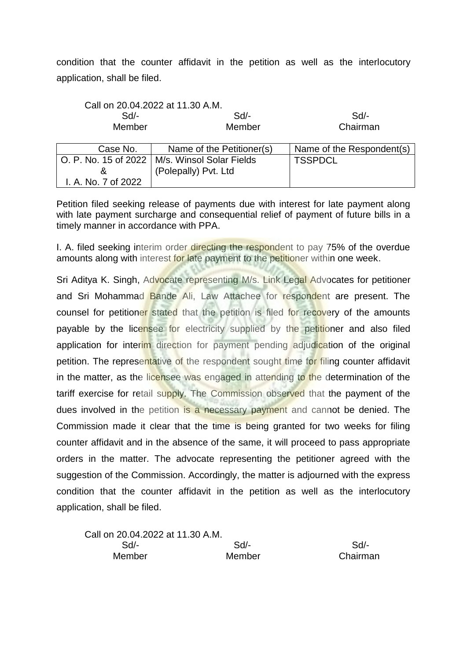condition that the counter affidavit in the petition as well as the interlocutory application, shall be filed.

|                     | Call on 20.04.2022 at 11.30 A.M.                |                           |
|---------------------|-------------------------------------------------|---------------------------|
| Sd/-                | Sd/-                                            | Sd/-                      |
| Member              | Member                                          | Chairman                  |
|                     |                                                 |                           |
| Case No.            | Name of the Petitioner(s)                       | Name of the Respondent(s) |
|                     | O. P. No. 15 of 2022   M/s. Winsol Solar Fields | <b>TSSPDCL</b>            |
| &                   | (Polepally) Pvt. Ltd                            |                           |
| I. A. No. 7 of 2022 |                                                 |                           |

Petition filed seeking release of payments due with interest for late payment along with late payment surcharge and consequential relief of payment of future bills in a timely manner in accordance with PPA.

I. A. filed seeking interim order directing the respondent to pay 75% of the overdue amounts along with interest for late payment to the petitioner within one week.

Sri Aditya K. Singh, Advocate representing M/s. Link Legal Advocates for petitioner and Sri Mohammad Bande Ali, Law Attachee for respondent are present. The counsel for petitioner stated that the petition is filed for recovery of the amounts payable by the licensee for electricity supplied by the petitioner and also filed application for interim direction for payment pending adjudication of the original petition. The representative of the respondent sought time for filing counter affidavit in the matter, as the licensee was engaged in attending to the determination of the tariff exercise for retail supply. The Commission observed that the payment of the dues involved in the petition is a necessary payment and cannot be denied. The Commission made it clear that the time is being granted for two weeks for filing counter affidavit and in the absence of the same, it will proceed to pass appropriate orders in the matter. The advocate representing the petitioner agreed with the suggestion of the Commission. Accordingly, the matter is adjourned with the express condition that the counter affidavit in the petition as well as the interlocutory application, shall be filed.

Call on 20.04.2022 at 11.30 A.M. Sd/- Sd/- Sd/- Member Member Chairman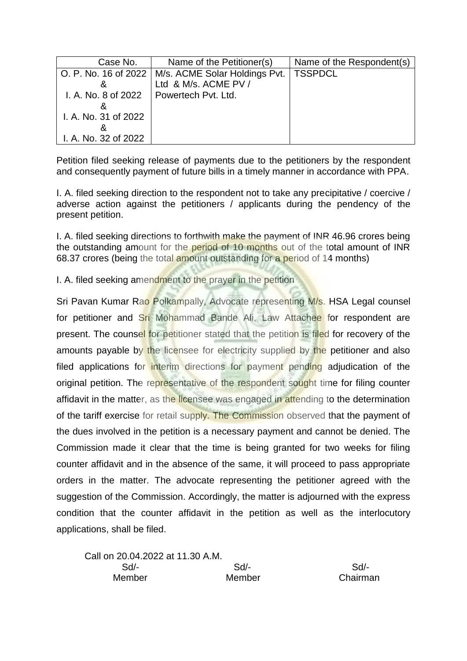| Case No.             | Name of the Petitioner(s)                            | Name of the Respondent(s) |
|----------------------|------------------------------------------------------|---------------------------|
|                      | O. P. No. 16 of 2022   M/s. ACME Solar Holdings Pvt. | <b>TSSPDCL</b>            |
|                      | Ltd & M/s. ACME PV /                                 |                           |
| I. A. No. 8 of 2022  | Powertech Pvt. Ltd.                                  |                           |
|                      |                                                      |                           |
| I. A. No. 31 of 2022 |                                                      |                           |
|                      |                                                      |                           |
| I. A. No. 32 of 2022 |                                                      |                           |

I. A. filed seeking direction to the respondent not to take any precipitative / coercive / adverse action against the petitioners / applicants during the pendency of the present petition.

I. A. filed seeking directions to forthwith make the payment of INR 46.96 crores being the outstanding amount for the period of 10 months out of the total amount of INR 68.37 crores (being the total amount outstanding for a period of 14 months)

I. A. filed seeking amendment to the prayer in the petition

| Call on 20.04.2022 at 11.30 A.M. |        |          |
|----------------------------------|--------|----------|
| Sd/-                             | Sd/-   | Sd       |
| Member                           | Member | Chairman |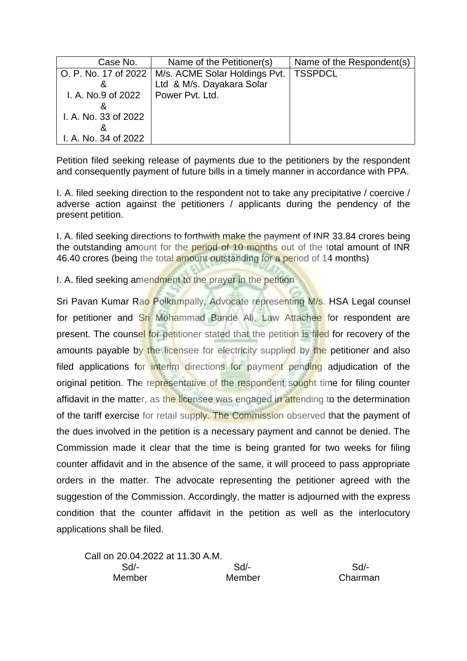| Case No.             | Name of the Petitioner(s)                            | Name of the Respondent(s) |
|----------------------|------------------------------------------------------|---------------------------|
|                      | O. P. No. 17 of 2022   M/s. ACME Solar Holdings Pvt. | <b>TSSPDCL</b>            |
| &                    | Ltd & M/s. Dayakara Solar                            |                           |
| I. A. No.9 of 2022   | Power Pvt. Ltd.                                      |                           |
|                      |                                                      |                           |
| I. A. No. 33 of 2022 |                                                      |                           |
|                      |                                                      |                           |
| I. A. No. 34 of 2022 |                                                      |                           |

I. A. filed seeking direction to the respondent not to take any precipitative / coercive / adverse action against the petitioners / applicants during the pendency of the present petition.

I. A. filed seeking directions to forthwith make the payment of INR 33.84 crores being the outstanding amount for the period of 10 months out of the total amount of INR 46.40 crores (being the total amount outstanding for a period of 14 months)

I. A. filed seeking amendment to the prayer in the petition

| Call on 20.04.2022 at 11.30 A.M. |        |          |
|----------------------------------|--------|----------|
| Sd/-                             | Sd/-   | Sd       |
| Member                           | Member | Chairman |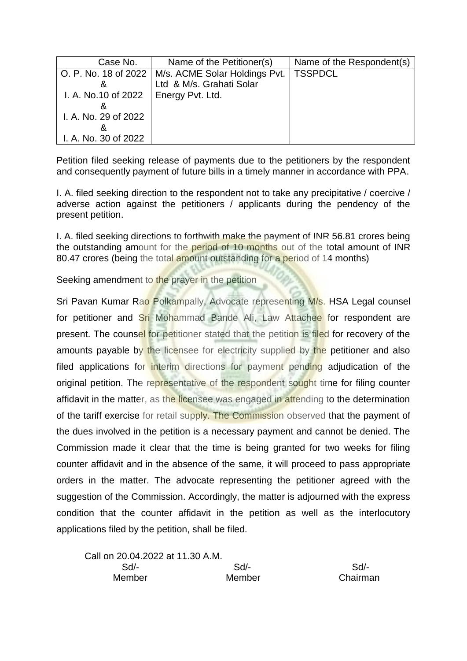| Case No.                                     | Name of the Petitioner(s)                            | Name of the Respondent(s) |
|----------------------------------------------|------------------------------------------------------|---------------------------|
|                                              | O. P. No. 18 of 2022   M/s. ACME Solar Holdings Pvt. | <b>TSSPDCL</b>            |
| &                                            | Ltd & M/s. Grahati Solar                             |                           |
| I. A. No.10 of 2022 $\vert$ Energy Pvt. Ltd. |                                                      |                           |
|                                              |                                                      |                           |
| I. A. No. 29 of 2022                         |                                                      |                           |
|                                              |                                                      |                           |
| I. A. No. 30 of 2022                         |                                                      |                           |

I. A. filed seeking direction to the respondent not to take any precipitative / coercive / adverse action against the petitioners / applicants during the pendency of the present petition.

I. A. filed seeking directions to forthwith make the payment of INR 56.81 crores being the outstanding amount for the period of 10 months out of the total amount of INR 80.47 crores (being the total amount outstanding for a period of 14 months)

Seeking amendment to the prayer in the petition

| Call on 20.04.2022 at 11.30 A.M. |        |          |
|----------------------------------|--------|----------|
| Sd/-                             | Sd/-   | $Sd/$ -  |
| Member                           | Member | Chairman |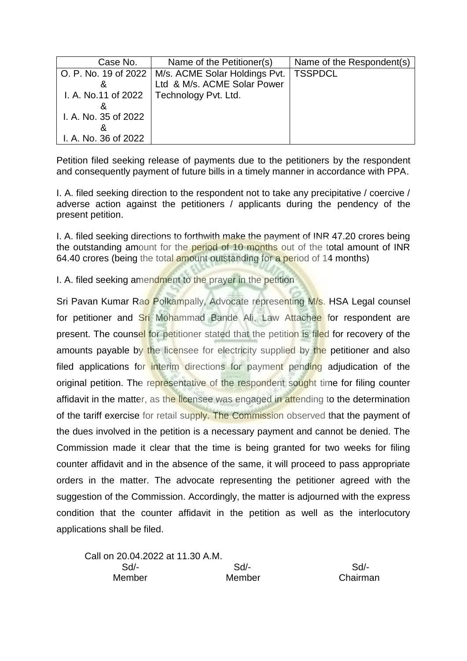| Case No.             | Name of the Petitioner(s)                            | Name of the Respondent(s) |
|----------------------|------------------------------------------------------|---------------------------|
|                      | O. P. No. 19 of 2022   M/s. ACME Solar Holdings Pvt. | <b>TSSPDCL</b>            |
| &                    | Ltd & M/s. ACME Solar Power                          |                           |
|                      | I. A. No.11 of 2022   Technology Pvt. Ltd.           |                           |
|                      |                                                      |                           |
| I. A. No. 35 of 2022 |                                                      |                           |
|                      |                                                      |                           |
| I. A. No. 36 of 2022 |                                                      |                           |

I. A. filed seeking direction to the respondent not to take any precipitative / coercive / adverse action against the petitioners / applicants during the pendency of the present petition.

I. A. filed seeking directions to forthwith make the payment of INR 47.20 crores being the outstanding amount for the period of 10 months out of the total amount of INR 64.40 crores (being the total amount outstanding for a period of 14 months)

I. A. filed seeking amendment to the prayer in the petition

| Call on 20.04.2022 at 11.30 A.M. |        |          |
|----------------------------------|--------|----------|
| Sd/-                             | Sd/-   | Sd       |
| Member                           | Member | Chairman |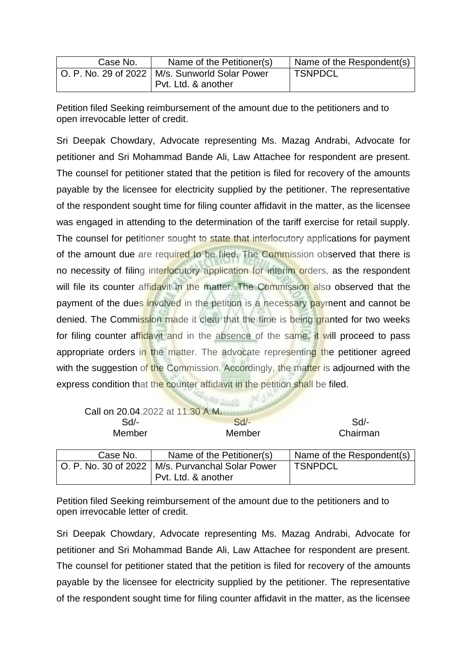| Case No. | Name of the Petitioner(s)                        | Name of the Respondent(s) |
|----------|--------------------------------------------------|---------------------------|
|          | O. P. No. 29 of 2022   M/s. Sunworld Solar Power | ' TSNPDCL                 |
|          | Pvt. Ltd. & another                              |                           |

Petition filed Seeking reimbursement of the amount due to the petitioners and to open irrevocable letter of credit.

Sri Deepak Chowdary, Advocate representing Ms. Mazag Andrabi, Advocate for petitioner and Sri Mohammad Bande Ali, Law Attachee for respondent are present. The counsel for petitioner stated that the petition is filed for recovery of the amounts payable by the licensee for electricity supplied by the petitioner. The representative of the respondent sought time for filing counter affidavit in the matter, as the licensee was engaged in attending to the determination of the tariff exercise for retail supply. The counsel for petitioner sought to state that interlocutory applications for payment of the amount due are required to be filed. The Commission observed that there is no necessity of filing interlocutory application for interim orders, as the respondent will file its counter affidavit in the matter. The Commission also observed that the payment of the dues involved in the petition is a necessary payment and cannot be denied. The Commission made it clear that the time is being granted for two weeks for filing counter affidavit and in the absence of the same, it will proceed to pass appropriate orders in the matter. The advocate representing the petitioner agreed with the suggestion of the Commission. Accordingly, the matter is adjourned with the express condition that the counter affidavit in the petition shall be filed.

|                      | Call on 20.04.2022 at 11.30 A.M. |                           |
|----------------------|----------------------------------|---------------------------|
| Sd/-                 | Sd/-                             | $Sd$ -                    |
| Member               | Member                           | Chairman                  |
|                      |                                  |                           |
| Case No.             | Name of the Petitioner(s)        | Name of the Respondent(s) |
| O. P. No. 30 of 2022 | M/s. Purvanchal Solar Power      | <b>TSNPDCL</b>            |

Petition filed Seeking reimbursement of the amount due to the petitioners and to open irrevocable letter of credit.

Pvt. Ltd. & another

Sri Deepak Chowdary, Advocate representing Ms. Mazag Andrabi, Advocate for petitioner and Sri Mohammad Bande Ali, Law Attachee for respondent are present. The counsel for petitioner stated that the petition is filed for recovery of the amounts payable by the licensee for electricity supplied by the petitioner. The representative of the respondent sought time for filing counter affidavit in the matter, as the licensee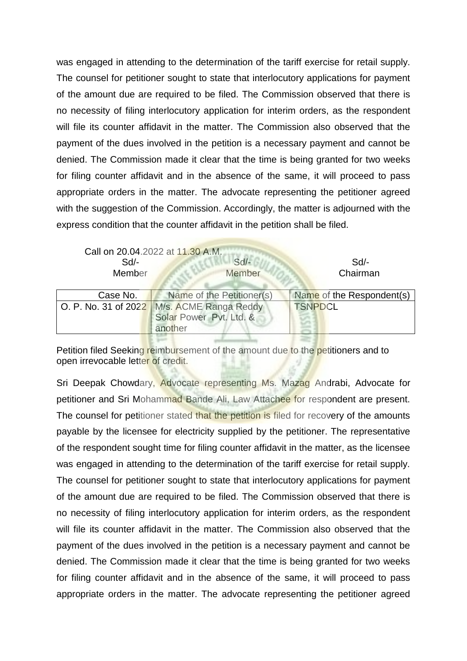was engaged in attending to the determination of the tariff exercise for retail supply. The counsel for petitioner sought to state that interlocutory applications for payment of the amount due are required to be filed. The Commission observed that there is no necessity of filing interlocutory application for interim orders, as the respondent will file its counter affidavit in the matter. The Commission also observed that the payment of the dues involved in the petition is a necessary payment and cannot be denied. The Commission made it clear that the time is being granted for two weeks for filing counter affidavit and in the absence of the same, it will proceed to pass appropriate orders in the matter. The advocate representing the petitioner agreed with the suggestion of the Commission. Accordingly, the matter is adjourned with the express condition that the counter affidavit in the petition shall be filed.

| $Sd$ -<br>Member | Call on 20.04.2022 at 11.30 A.M.<br>$Sd$ -<br>Member | $Sd$ -<br>Chairman        |
|------------------|------------------------------------------------------|---------------------------|
| Case No.         | Name of the Petitioner(s)                            | Name of the Respondent(s) |
|                  | O. P. No. 31 of 2022 M/s. ACME Ranga Reddy           | <b>TSNPDCL</b>            |
|                  | Solar Power Pvt. Ltd. &                              |                           |
|                  | another                                              |                           |
|                  |                                                      |                           |

Petition filed Seeking reimbursement of the amount due to the petitioners and to open irrevocable letter of credit.

Sri Deepak Chowdary, Advocate representing Ms. Mazag Andrabi, Advocate for petitioner and Sri Mohammad Bande Ali, Law Attachee for respondent are present. The counsel for petitioner stated that the petition is filed for recovery of the amounts payable by the licensee for electricity supplied by the petitioner. The representative of the respondent sought time for filing counter affidavit in the matter, as the licensee was engaged in attending to the determination of the tariff exercise for retail supply. The counsel for petitioner sought to state that interlocutory applications for payment of the amount due are required to be filed. The Commission observed that there is no necessity of filing interlocutory application for interim orders, as the respondent will file its counter affidavit in the matter. The Commission also observed that the payment of the dues involved in the petition is a necessary payment and cannot be denied. The Commission made it clear that the time is being granted for two weeks for filing counter affidavit and in the absence of the same, it will proceed to pass appropriate orders in the matter. The advocate representing the petitioner agreed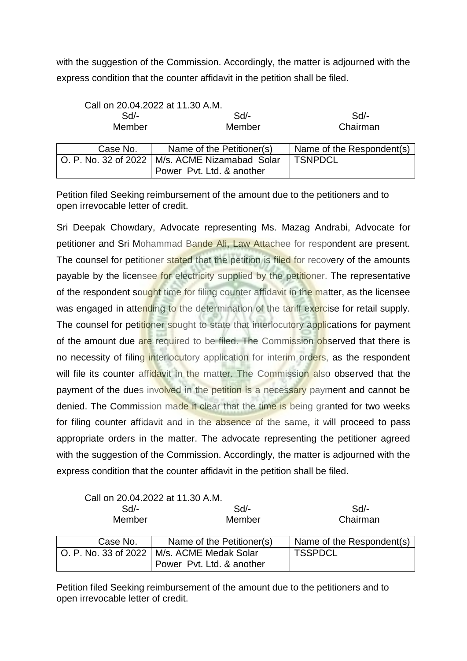with the suggestion of the Commission. Accordingly, the matter is adjourned with the express condition that the counter affidavit in the petition shall be filed.

|                        | Call on 20.04.2022 at 11.30 A.M. |                           |
|------------------------|----------------------------------|---------------------------|
| $Sd$ -                 | $Sd$ -                           | $Sd$ -                    |
| Member                 | Member                           | Chairman                  |
|                        |                                  |                           |
| Case No.               | Name of the Petitioner(s)        | Name of the Respondent(s) |
| O. P. No. 32 of 2022 l | M/s. ACME Nizamabad Solar        | <b>TSNPDCL</b>            |
|                        | Power Pvt. Ltd. & another        |                           |

Petition filed Seeking reimbursement of the amount due to the petitioners and to open irrevocable letter of credit.

Sri Deepak Chowdary, Advocate representing Ms. Mazag Andrabi, Advocate for petitioner and Sri Mohammad Bande Ali, Law Attachee for respondent are present. The counsel for petitioner stated that the petition is filed for recovery of the amounts payable by the licensee for electricity supplied by the petitioner. The representative of the respondent sought time for filing counter affidavit in the matter, as the licensee was engaged in attending to the determination of the tariff exercise for retail supply. The counsel for petitioner sought to state that interlocutory applications for payment of the amount due are required to be filed. The Commission observed that there is no necessity of filing interlocutory application for interim orders, as the respondent will file its counter affidavit in the matter. The Commission also observed that the payment of the dues involved in the petition is a necessary payment and cannot be denied. The Commission made it clear that the time is being granted for two weeks for filing counter affidavit and in the absence of the same, it will proceed to pass appropriate orders in the matter. The advocate representing the petitioner agreed with the suggestion of the Commission. Accordingly, the matter is adjourned with the express condition that the counter affidavit in the petition shall be filed.

Call on 20.04.2022 at 11.30 A.M.

| Sd/-   | Sd/-   | Sd/-     |
|--------|--------|----------|
| Member | Member | Chairman |

| Case No. | Name of the Petitioner(s)                    | Name of the Respondent(s) |
|----------|----------------------------------------------|---------------------------|
|          | O. P. No. 33 of 2022   M/s. ACME Medak Solar | <b>TSSPDCL</b>            |
|          | Power Pyt. Ltd. & another                    |                           |

Petition filed Seeking reimbursement of the amount due to the petitioners and to open irrevocable letter of credit.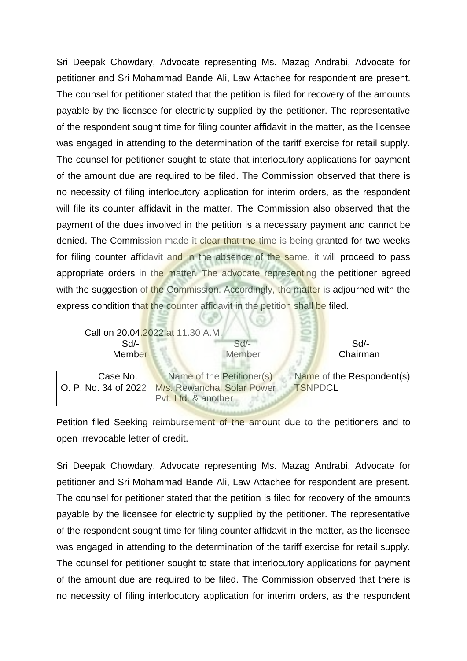Sri Deepak Chowdary, Advocate representing Ms. Mazag Andrabi, Advocate for petitioner and Sri Mohammad Bande Ali, Law Attachee for respondent are present. The counsel for petitioner stated that the petition is filed for recovery of the amounts payable by the licensee for electricity supplied by the petitioner. The representative of the respondent sought time for filing counter affidavit in the matter, as the licensee was engaged in attending to the determination of the tariff exercise for retail supply. The counsel for petitioner sought to state that interlocutory applications for payment of the amount due are required to be filed. The Commission observed that there is no necessity of filing interlocutory application for interim orders, as the respondent will file its counter affidavit in the matter. The Commission also observed that the payment of the dues involved in the petition is a necessary payment and cannot be denied. The Commission made it clear that the time is being granted for two weeks for filing counter affidavit and in the absence of the same, it will proceed to pass appropriate orders in the matter. The advocate representing the petitioner agreed with the suggestion of the Commission. Accordingly, the matter is adjourned with the express condition that the counter affidavit in the petition shall be filed.

| $Sd$ -<br>Member     | Call on 20.04.2022 at 11.30 A.M.<br>$Sd$ -<br>Member | $Sd$ -<br>Chairman        |
|----------------------|------------------------------------------------------|---------------------------|
| Case No.             | Name of the Petitioner(s)                            | Name of the Respondent(s) |
| O. P. No. 34 of 2022 | M/s. Rewanchal Solar Power                           | <b>TSNPDCL</b>            |
|                      | Pvt. Ltd. & another                                  |                           |

パスティスキムスキー

Petition filed Seeking reimbursement of the amount due to the petitioners and to open irrevocable letter of credit.

Sri Deepak Chowdary, Advocate representing Ms. Mazag Andrabi, Advocate for petitioner and Sri Mohammad Bande Ali, Law Attachee for respondent are present. The counsel for petitioner stated that the petition is filed for recovery of the amounts payable by the licensee for electricity supplied by the petitioner. The representative of the respondent sought time for filing counter affidavit in the matter, as the licensee was engaged in attending to the determination of the tariff exercise for retail supply. The counsel for petitioner sought to state that interlocutory applications for payment of the amount due are required to be filed. The Commission observed that there is no necessity of filing interlocutory application for interim orders, as the respondent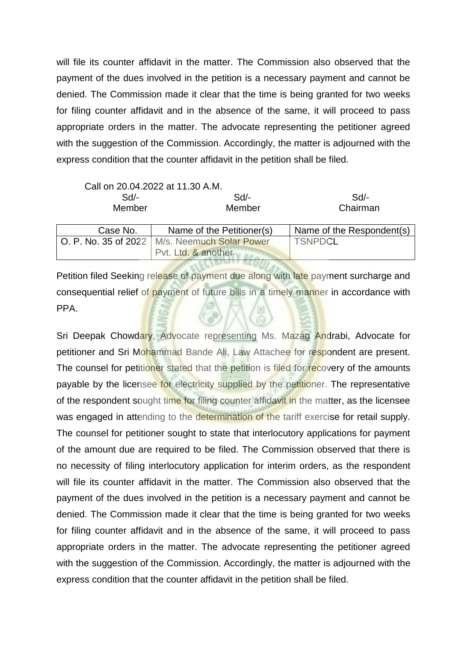will file its counter affidavit in the matter. The Commission also observed that the payment of the dues involved in the petition is a necessary payment and cannot be denied. The Commission made it clear that the time is being granted for two weeks for filing counter affidavit and in the absence of the same, it will proceed to pass appropriate orders in the matter. The advocate representing the petitioner agreed with the suggestion of the Commission. Accordingly, the matter is adjourned with the express condition that the counter affidavit in the petition shall be filed.

|          | Call on 20.04.2022 at 11.30 A.M.                |                           |
|----------|-------------------------------------------------|---------------------------|
| Sd       | $Sd$ -                                          | Sd/-                      |
| Member   | Member                                          | Chairman                  |
|          |                                                 |                           |
| Case No. | Name of the Petitioner(s)                       | Name of the Respondent(s) |
|          | O. P. No. 35 of 2022   M/s. Neemuch Solar Power | <b>TSNPDCL</b>            |
|          | Pvt. Ltd. & another                             |                           |

Petition filed Seeking release of payment due along with late payment surcharge and consequential relief of payment of future bills in a timely manner in accordance with PPA.

Sri Deepak Chowdary, Advocate representing Ms. Mazag Andrabi, Advocate for petitioner and Sri Mohammad Bande Ali, Law Attachee for respondent are present. The counsel for petitioner stated that the petition is filed for recovery of the amounts payable by the licensee for electricity supplied by the petitioner. The representative of the respondent sought time for filing counter affidavit in the matter, as the licensee was engaged in attending to the determination of the tariff exercise for retail supply. The counsel for petitioner sought to state that interlocutory applications for payment of the amount due are required to be filed. The Commission observed that there is no necessity of filing interlocutory application for interim orders, as the respondent will file its counter affidavit in the matter. The Commission also observed that the payment of the dues involved in the petition is a necessary payment and cannot be denied. The Commission made it clear that the time is being granted for two weeks for filing counter affidavit and in the absence of the same, it will proceed to pass appropriate orders in the matter. The advocate representing the petitioner agreed with the suggestion of the Commission. Accordingly, the matter is adjourned with the express condition that the counter affidavit in the petition shall be filed.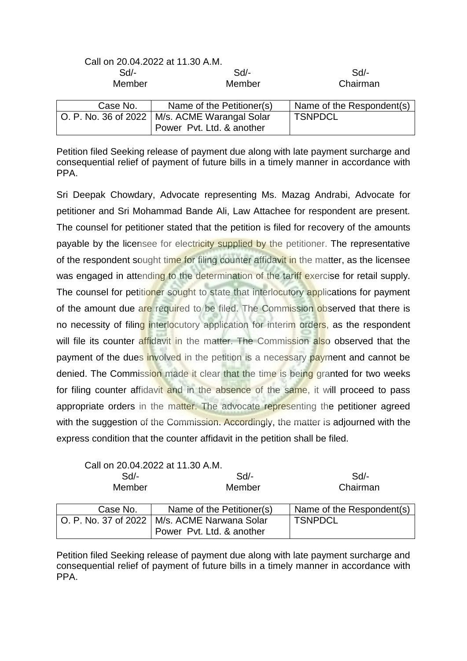|                      | Call on 20.04.2022 at 11.30 A.M. |                           |
|----------------------|----------------------------------|---------------------------|
| $Sd$ -               | $Sd$ -                           | $Sd$ -                    |
| Member               | Member                           | Chairman                  |
| Case No.             | Name of the Petitioner(s)        | Name of the Respondent(s) |
| O. P. No. 36 of 2022 | M/s. ACME Warangal Solar         | <b>TSNPDCL</b>            |
|                      | Power Pvt. Ltd. & another        |                           |

Petition filed Seeking release of payment due along with late payment surcharge and consequential relief of payment of future bills in a timely manner in accordance with PPA.

Sri Deepak Chowdary, Advocate representing Ms. Mazag Andrabi, Advocate for petitioner and Sri Mohammad Bande Ali, Law Attachee for respondent are present. The counsel for petitioner stated that the petition is filed for recovery of the amounts payable by the licensee for electricity supplied by the petitioner. The representative of the respondent sought time for filing counter affidavit in the matter, as the licensee was engaged in attending to the determination of the tariff exercise for retail supply. The counsel for petitioner sought to state that interlocutory applications for payment of the amount due are required to be filed. The Commission observed that there is no necessity of filing interlocutory application for interim orders, as the respondent will file its counter affidavit in the matter. The Commission also observed that the payment of the dues involved in the petition is a necessary payment and cannot be denied. The Commission made it clear that the time is being granted for two weeks for filing counter affidavit and in the absence of the same, it will proceed to pass appropriate orders in the matter. The advocate representing the petitioner agreed with the suggestion of the Commission. Accordingly, the matter is adjourned with the express condition that the counter affidavit in the petition shall be filed.

|                        | Call on 20.04.2022 at 11.30 A.M. |                           |
|------------------------|----------------------------------|---------------------------|
| $Sd$ -                 | $Sd$ -                           | $Sd$ -                    |
| Member                 | Member                           | Chairman                  |
|                        |                                  |                           |
| Case No.               | Name of the Petitioner(s)        | Name of the Respondent(s) |
| O. P. No. 37 of 2022 l | M/s. ACME Narwana Solar          | <b>TSNPDCL</b>            |
|                        | Power Pvt. Ltd. & another        |                           |

Petition filed Seeking release of payment due along with late payment surcharge and consequential relief of payment of future bills in a timely manner in accordance with PPA.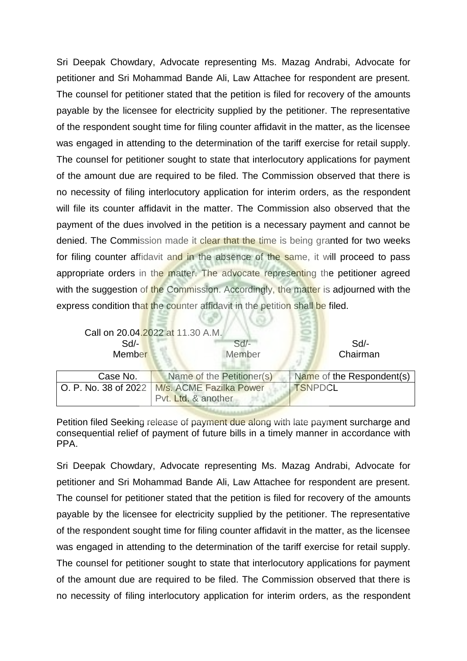Sri Deepak Chowdary, Advocate representing Ms. Mazag Andrabi, Advocate for petitioner and Sri Mohammad Bande Ali, Law Attachee for respondent are present. The counsel for petitioner stated that the petition is filed for recovery of the amounts payable by the licensee for electricity supplied by the petitioner. The representative of the respondent sought time for filing counter affidavit in the matter, as the licensee was engaged in attending to the determination of the tariff exercise for retail supply. The counsel for petitioner sought to state that interlocutory applications for payment of the amount due are required to be filed. The Commission observed that there is no necessity of filing interlocutory application for interim orders, as the respondent will file its counter affidavit in the matter. The Commission also observed that the payment of the dues involved in the petition is a necessary payment and cannot be denied. The Commission made it clear that the time is being granted for two weeks for filing counter affidavit and in the absence of the same, it will proceed to pass appropriate orders in the matter. The advocate representing the petitioner agreed with the suggestion of the Commission. Accordingly, the matter is adjourned with the express condition that the counter affidavit in the petition shall be filed.

| $Sd$ -<br>Member     | Call on 20.04.2022 at 11.30 A.M.<br>$Sd$ -<br>Member | $Sd$ -<br>Chairman        |
|----------------------|------------------------------------------------------|---------------------------|
| Case No.             | Name of the Petitioner(s)                            | Name of the Respondent(s) |
| O. P. No. 38 of 2022 | M/s. ACME Fazilka Power                              | <b>TSNPDCL</b>            |
|                      | Pvt. Ltd. & another                                  |                           |

(な) ハース

Petition filed Seeking release of payment due along with late payment surcharge and consequential relief of payment of future bills in a timely manner in accordance with PPA.

Sri Deepak Chowdary, Advocate representing Ms. Mazag Andrabi, Advocate for petitioner and Sri Mohammad Bande Ali, Law Attachee for respondent are present. The counsel for petitioner stated that the petition is filed for recovery of the amounts payable by the licensee for electricity supplied by the petitioner. The representative of the respondent sought time for filing counter affidavit in the matter, as the licensee was engaged in attending to the determination of the tariff exercise for retail supply. The counsel for petitioner sought to state that interlocutory applications for payment of the amount due are required to be filed. The Commission observed that there is no necessity of filing interlocutory application for interim orders, as the respondent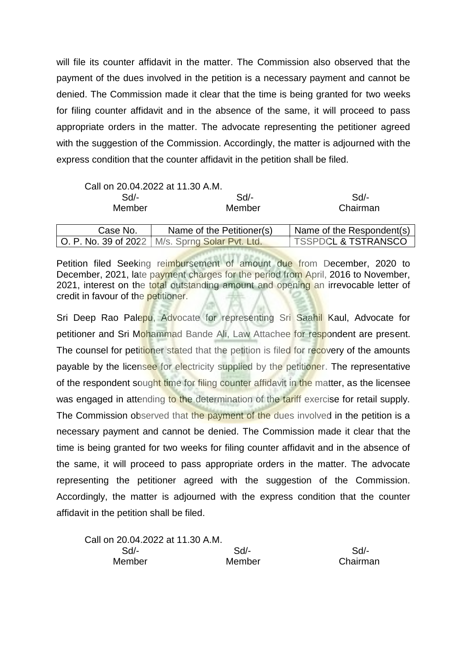will file its counter affidavit in the matter. The Commission also observed that the payment of the dues involved in the petition is a necessary payment and cannot be denied. The Commission made it clear that the time is being granted for two weeks for filing counter affidavit and in the absence of the same, it will proceed to pass appropriate orders in the matter. The advocate representing the petitioner agreed with the suggestion of the Commission. Accordingly, the matter is adjourned with the express condition that the counter affidavit in the petition shall be filed.

|          | Call on 20.04.2022 at 11.30 A.M.                  |                                |
|----------|---------------------------------------------------|--------------------------------|
| $Sd$ -   | Sd/-                                              | Sd/-                           |
| Member   | Member                                            | Chairman                       |
|          |                                                   |                                |
| Case No. | Name of the Petitioner(s)                         | Name of the Respondent(s)      |
|          | O. P. No. 39 of 2022   M/s. Sprng Solar Pvt. Ltd. | <b>TSSPDCL &amp; TSTRANSCO</b> |

Petition filed Seeking reimbursement of amount due from December, 2020 to December, 2021, late payment charges for the period from April, 2016 to November, 2021, interest on the total outstanding amount and opening an irrevocable letter of credit in favour of the petitioner.

| Call on 20.04.2022 at 11.30 A.M. |        |          |
|----------------------------------|--------|----------|
| Sd/-                             | Sd/-   | Sd       |
| Member                           | Member | Chairman |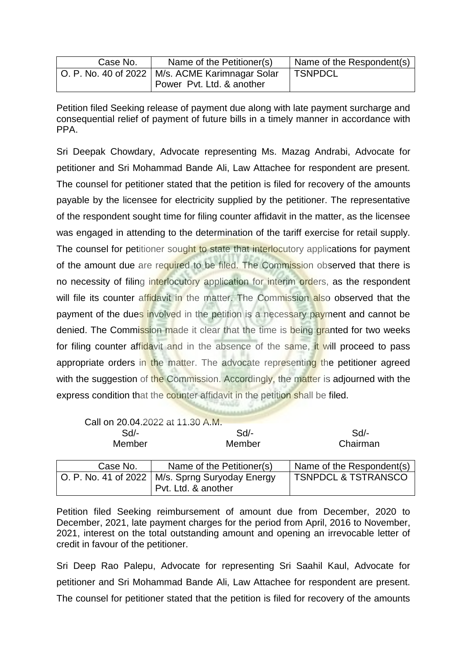| Case No. | Name of the Petitioner(s)                         | Name of the Respondent(s) |
|----------|---------------------------------------------------|---------------------------|
|          | O. P. No. 40 of 2022   M/s. ACME Karimnagar Solar | <b>TSNPDCL</b>            |
|          | Power Pvt. Ltd. & another                         |                           |

Petition filed Seeking release of payment due along with late payment surcharge and consequential relief of payment of future bills in a timely manner in accordance with PPA.

Sri Deepak Chowdary, Advocate representing Ms. Mazag Andrabi, Advocate for petitioner and Sri Mohammad Bande Ali, Law Attachee for respondent are present. The counsel for petitioner stated that the petition is filed for recovery of the amounts payable by the licensee for electricity supplied by the petitioner. The representative of the respondent sought time for filing counter affidavit in the matter, as the licensee was engaged in attending to the determination of the tariff exercise for retail supply. The counsel for petitioner sought to state that interlocutory applications for payment of the amount due are required to be filed. The Commission observed that there is no necessity of filing interlocutory application for interim orders, as the respondent will file its counter affidavit in the matter. The Commission also observed that the payment of the dues involved in the petition is a necessary payment and cannot be denied. The Commission made it clear that the time is being granted for two weeks for filing counter affidavit and in the absence of the same, it will proceed to pass appropriate orders in the matter. The advocate representing the petitioner agreed with the suggestion of the Commission. Accordingly, the matter is adjourned with the express condition that the counter affidavit in the petition shall be filed.

|          | Call on 20.04.2022 at 11.30 A.M.                  |                                |
|----------|---------------------------------------------------|--------------------------------|
| $Sd$ -   | Sd/-                                              | $Sd/-$                         |
| Member   | Member                                            | Chairman                       |
| Case No. | Name of the Petitioner(s)                         | Name of the Respondent(s)      |
|          | O. P. No. 41 of 2022   M/s. Sprng Suryoday Energy | <b>TSNPDCL &amp; TSTRANSCO</b> |

Petition filed Seeking reimbursement of amount due from December, 2020 to December, 2021, late payment charges for the period from April, 2016 to November, 2021, interest on the total outstanding amount and opening an irrevocable letter of credit in favour of the petitioner.

Pvt. Ltd. & another

Sri Deep Rao Palepu, Advocate for representing Sri Saahil Kaul, Advocate for petitioner and Sri Mohammad Bande Ali, Law Attachee for respondent are present. The counsel for petitioner stated that the petition is filed for recovery of the amounts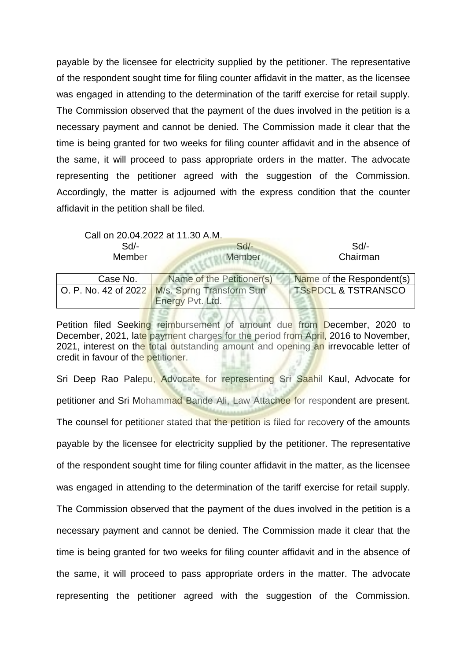payable by the licensee for electricity supplied by the petitioner. The representative of the respondent sought time for filing counter affidavit in the matter, as the licensee was engaged in attending to the determination of the tariff exercise for retail supply. The Commission observed that the payment of the dues involved in the petition is a necessary payment and cannot be denied. The Commission made it clear that the time is being granted for two weeks for filing counter affidavit and in the absence of the same, it will proceed to pass appropriate orders in the matter. The advocate representing the petitioner agreed with the suggestion of the Commission. Accordingly, the matter is adjourned with the express condition that the counter affidavit in the petition shall be filed.

Call on 20.04.2022 at 11.30 A.M.

| Sd/-   |  |  |  |
|--------|--|--|--|
| Member |  |  |  |

 Sd/- Sd/- Sd/- Member Chairman

| Case No. | Name of the Petitioner(s)                                     | Name of the Respondent(s)      |
|----------|---------------------------------------------------------------|--------------------------------|
|          | $\vert$ O. P. No. 42 of 2022 $\vert$ M/s. Sprng Transform Sun | <b>TSSPDCL &amp; TSTRANSCO</b> |
|          | <b>Energy Pvt. Ltd.</b>                                       |                                |

Petition filed Seeking reimbursement of amount due from December, 2020 to December, 2021, late payment charges for the period from April, 2016 to November, 2021, interest on the total outstanding amount and opening an irrevocable letter of credit in favour of the petitioner.

Sri Deep Rao Palepu, Advocate for representing Sri Saahil Kaul, Advocate for petitioner and Sri Mohammad Bande Ali, Law Attachee for respondent are present. The counsel for petitioner stated that the petition is filed for recovery of the amounts payable by the licensee for electricity supplied by the petitioner. The representative of the respondent sought time for filing counter affidavit in the matter, as the licensee was engaged in attending to the determination of the tariff exercise for retail supply. The Commission observed that the payment of the dues involved in the petition is a necessary payment and cannot be denied. The Commission made it clear that the time is being granted for two weeks for filing counter affidavit and in the absence of the same, it will proceed to pass appropriate orders in the matter. The advocate representing the petitioner agreed with the suggestion of the Commission.